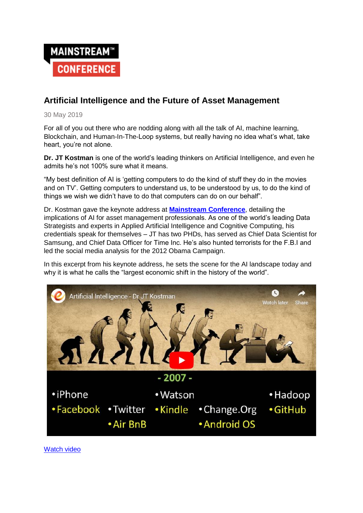

# **Artificial Intelligence and the Future of Asset Management**

30 May 2019

For all of you out there who are nodding along with all the talk of AI, machine learning, Blockchain, and Human-In-The-Loop systems, but really having no idea what's what, take heart, you're not alone.

**Dr. JT Kostman** is one of the world's leading thinkers on Artificial Intelligence, and even he admits he's not 100% sure what it means.

"My best definition of AI is 'getting computers to do the kind of stuff they do in the movies and on TV'. Getting computers to understand us, to be understood by us, to do the kind of things we wish we didn't have to do that computers can do on our behalf".

Dr. Kostman gave the keynote address at **[Mainstream Conference](https://www.mainstreamconf.com/)**, detailing the implications of AI for asset management professionals. As one of the world's leading Data Strategists and experts in Applied Artificial Intelligence and Cognitive Computing, his credentials speak for themselves – JT has two PHDs, has served as Chief Data Scientist for Samsung, and Chief Data Officer for Time Inc. He's also hunted terrorists for the F.B.I and led the social media analysis for the 2012 Obama Campaign.

In this excerpt from his keynote address, he sets the scene for the AI landscape today and why it is what he calls the "largest economic shift in the history of the world".



[Watch video](https://youtu.be/FxFCPwgiYH4)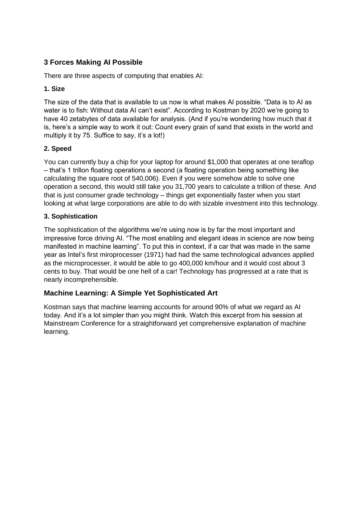# **3 Forces Making AI Possible**

There are three aspects of computing that enables AI:

### **1. Size**

The size of the data that is available to us now is what makes AI possible. "Data is to AI as water is to fish: Without data AI can't exist". According to Kostman by 2020 we're going to have 40 zetabytes of data available for analysis. (And if you're wondering how much that it is, here's a simple way to work it out: Count every grain of sand that exists in the world and multiply it by 75. Suffice to say, it's a lot!)

### **2. Speed**

You can currently buy a chip for your laptop for around \$1,000 that operates at one teraflop – that's 1 trillon floating operations a second (a floating operation being something like calculating the square root of 540,006). Even if you were somehow able to solve one operation a second, this would still take you 31,700 years to calculate a trillion of these. And that is just consumer grade technology – things get exponentially faster when you start looking at what large corporations are able to do with sizable investment into this technology.

### **3. Sophistication**

The sophistication of the algorithms we're using now is by far the most important and impressive force driving AI. "The most enabling and elegant ideas in science are now being manifested in machine learning". To put this in context, if a car that was made in the same year as Intel's first miroprocesser (1971) had had the same technological advances applied as the microprocesser, it would be able to go 400,000 km/hour and it would cost about 3 cents to buy. That would be one hell of a car! Technology has progressed at a rate that is nearly incomprehensible.

## **Machine Learning: A Simple Yet Sophisticated Art**

Kostman says that machine learning accounts for around 90% of what we regard as AI today. And it's a lot simpler than you might think. Watch this excerpt from his session at Mainstream Conference for a straightforward yet comprehensive explanation of machine learning.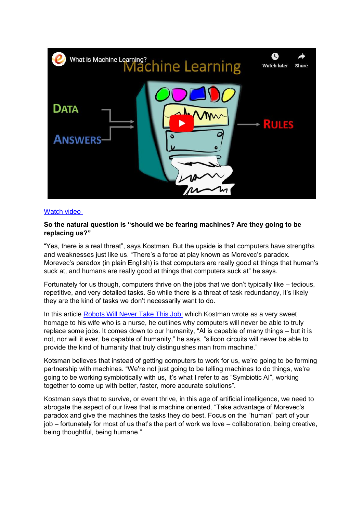![](_page_2_Picture_0.jpeg)

#### [Watch video](https://youtu.be/BChjSFdIuh0)

#### **So the natural question is "should we be fearing machines? Are they going to be replacing us?"**

"Yes, there is a real threat", says Kostman. But the upside is that computers have strengths and weaknesses just like us. "There's a force at play known as Morevec's paradox. Morevec's paradox (in plain English) is that computers are really good at things that human's suck at, and humans are really good at things that computers suck at" he says.

Fortunately for us though, computers thrive on the jobs that we don't typically like – tedious, repetitive, and very detailed tasks. So while there is a threat of task redundancy, it's likely they are the kind of tasks we don't necessarily want to do.

In this article [Robots Will Never Take This Job!](https://www.linkedin.com/pulse/robots-never-take-job-jt-kostman-phd/) which Kostman wrote as a very sweet homage to his wife who is a nurse, he outlines why computers will never be able to truly replace some jobs. It comes down to our humanity, "AI is capable of many things – but it is not, nor will it ever, be capable of humanity," he says, "silicon circuits will never be able to provide the kind of humanity that truly distinguishes man from machine."

Kotsman believes that instead of getting computers to work for us, we're going to be forming partnership with machines. "We're not just going to be telling machines to do things, we're going to be working symbiotically with us, it's what I refer to as "Symbiotic AI", working together to come up with better, faster, more accurate solutions".

Kostman says that to survive, or event thrive, in this age of artificial intelligence, we need to abrogate the aspect of our lives that is machine oriented. "Take advantage of Morevec's paradox and give the machines the tasks they do best. Focus on the "human" part of your job – fortunately for most of us that's the part of work we love – collaboration, being creative, being thoughtful, being humane."